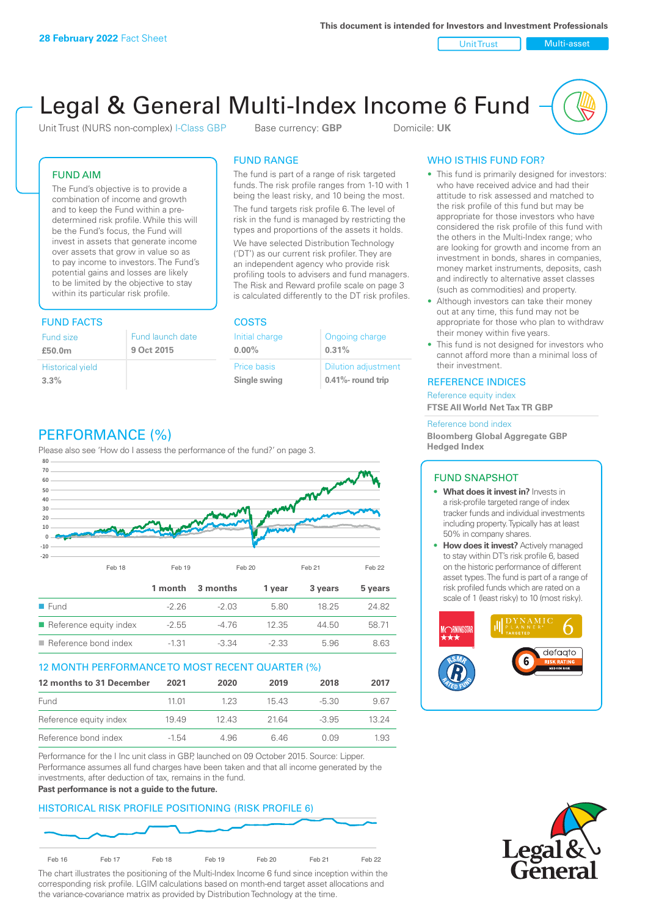Unit Trust Nulti-asset

# Legal & General Multi-Index Income 6 Fund

Unit Trust (NURS non-complex) I-Class GBP Base currency: **GBP** Domicile: UK

### FUND AIM

The Fund's objective is to provide a combination of income and growth and to keep the Fund within a predetermined risk profile. While this will be the Fund's focus, the Fund will invest in assets that generate income over assets that grow in value so as to pay income to investors. The Fund's potential gains and losses are likely to be limited by the objective to stay within its particular risk profile.

### FUND FACTS COSTS

| Fund size<br>£50.0m     | Fund launch date<br>9 Oct 2015 |
|-------------------------|--------------------------------|
| <b>Historical yield</b> |                                |
| 3.3%                    |                                |

### FUND RANGE

The fund is part of a range of risk targeted funds. The risk profile ranges from 1-10 with 1 being the least risky, and 10 being the most.

The fund targets risk profile 6. The level of risk in the fund is managed by restricting the types and proportions of the assets it holds. We have selected Distribution Technology ('DT') as our current risk profiler. They are an independent agency who provide risk profiling tools to advisers and fund managers. The Risk and Reward profile scale on page 3 is calculated differently to the DT risk profiles.

| Initial charge | Ongoing charge             |
|----------------|----------------------------|
| $0.00\%$       | 0.31%                      |
| Price basis    | <b>Dilution adjustment</b> |
| Single swing   | 0.41%- round trip          |

### WHO IS THIS FUND FOR?

- This fund is primarily designed for investors: who have received advice and had their attitude to risk assessed and matched to the risk profile of this fund but may be appropriate for those investors who have considered the risk profile of this fund with the others in the Multi-Index range; who are looking for growth and income from an investment in bonds, shares in companies, money market instruments, deposits, cash and indirectly to alternative asset classes (such as commodities) and property.
- Although investors can take their money out at any time, this fund may not be appropriate for those who plan to withdraw their money within five years.
- This fund is not designed for investors who cannot afford more than a minimal loss of their investment.

### REFERENCE INDICES

Reference equity index **FTSE All World Net Tax TR GBP**

#### Reference bond index

**Bloomberg Global Aggregate GBP Hedged Index**

### FUND SNAPSHOT

- **• What does it invest in?** Invests in a risk-profile targeted range of index tracker funds and individual investments including property. Typically has at least 50% in company shares.
- **• How does it invest?** Actively managed to stay within DT's risk profile 6, based on the historic performance of different asset types. The fund is part of a range of risk profiled funds which are rated on a scale of 1 (least risky) to 10 (most risky).





## PERFORMANCE (%)

Please also see 'How do I assess the performance of the fund?' on page 3.



### 12 MONTH PERFORMANCE TO MOST RECENT QUARTER (%)

| 12 months to 31 December | 2021  | 2020  | 2019 | 2018    | 2017  |
|--------------------------|-------|-------|------|---------|-------|
| Fund                     | 11 01 | 1 2 3 | 1543 | -5.30   | 9.67  |
| Reference equity index   | 1949  | 1243  | 2164 | $-3.95$ | 13 24 |
| Reference bond index     | -1.54 | 4.96  | 646  | O 0.9   | 1.93  |

Performance for the I Inc unit class in GBP, launched on 09 October 2015. Source: Lipper. Performance assumes all fund charges have been taken and that all income generated by the investments, after deduction of tax, remains in the fund.

#### **Past performance is not a guide to the future.**

### HISTORICAL RISK PROFILE POSITIONING (RISK PROFILE 6)



The chart illustrates the positioning of the Multi-Index Income 6 fund since inception within the corresponding risk profile. LGIM calculations based on month-end target asset allocations and the variance-covariance matrix as provided by Distribution Technology at the time.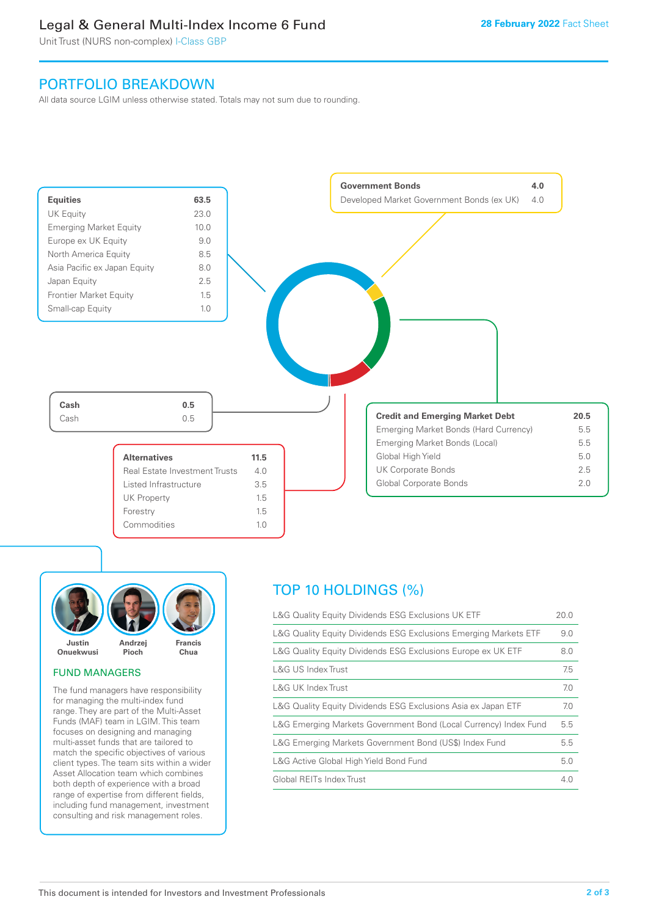### Legal & General Multi-Index Income 6 Fund

Unit Trust (NURS non-complex) I-Class GBP

### PORTFOLIO BREAKDOWN

All data source LGIM unless otherwise stated. Totals may not sum due to rounding.





### FUND MANAGERS

The fund managers have responsibility for managing the multi-index fund range. They are part of the Multi-Asset Funds (MAF) team in LGIM. This team focuses on designing and managing multi-asset funds that are tailored to match the specific objectives of various client types. The team sits within a wider Asset Allocation team which combines both depth of experience with a broad range of expertise from different fields, including fund management, investment consulting and risk management roles.

## TOP 10 HOLDINGS (%)

| L&G Quality Equity Dividends ESG Exclusions UK ETF               | 20.0 |
|------------------------------------------------------------------|------|
| L&G Quality Equity Dividends ESG Exclusions Emerging Markets ETF | 9.0  |
| L&G Quality Equity Dividends ESG Exclusions Europe ex UK ETF     | 8.0  |
| L&G US Index Trust                                               | 7.5  |
| L&G UK Index Trust                                               | 7.0  |
| L&G Quality Equity Dividends ESG Exclusions Asia ex Japan ETF    | 7.0  |
| L&G Emerging Markets Government Bond (Local Currency) Index Fund | 5.5  |
| L&G Emerging Markets Government Bond (US\$) Index Fund           | 5.5  |
| L&G Active Global High Yield Bond Fund                           | 5.0  |
| Global REITs Index Trust                                         | 4.0  |